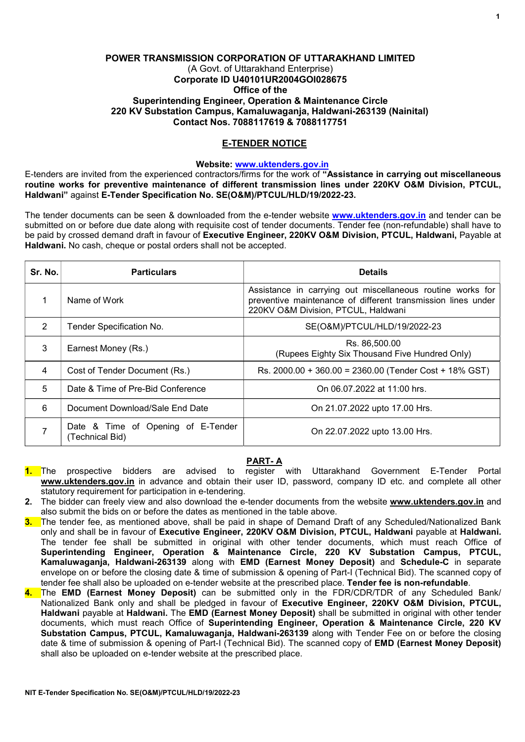## POWER TRANSMISSION CORPORATION OF UTTARAKHAND LIMITED (A Govt. of Uttarakhand Enterprise) Corporate ID U40101UR2004GOI028675 Office of the Superintending Engineer, Operation & Maintenance Circle 220 KV Substation Campus, Kamaluwaganja, Haldwani-263139 (Nainital) Contact Nos. 7088117619 & 7088117751

## E-TENDER NOTICE

### Website: www.uktenders.gov.in

E-tenders are invited from the experienced contractors/firms for the work of "Assistance in carrying out miscellaneous routine works for preventive maintenance of different transmission lines under 220KV O&M Division, PTCUL, Haldwani" against E-Tender Specification No. SE(O&M)/PTCUL/HLD/19/2022-23.

The tender documents can be seen & downloaded from the e-tender website www.uktenders.gov.in and tender can be submitted on or before due date along with requisite cost of tender documents. Tender fee (non-refundable) shall have to be paid by crossed demand draft in favour of Executive Engineer, 220KV O&M Division, PTCUL, Haldwani, Payable at Haldwani. No cash, cheque or postal orders shall not be accepted.

| Sr. No. | <b>Particulars</b>                                    | <b>Details</b>                                                                                                                                                    |
|---------|-------------------------------------------------------|-------------------------------------------------------------------------------------------------------------------------------------------------------------------|
|         | Name of Work                                          | Assistance in carrying out miscellaneous routine works for<br>preventive maintenance of different transmission lines under<br>220KV O&M Division, PTCUL, Haldwani |
| 2       | Tender Specification No.                              | SE(O&M)/PTCUL/HLD/19/2022-23                                                                                                                                      |
| 3       | Earnest Money (Rs.)                                   | Rs. 86.500.00<br>(Rupees Eighty Six Thousand Five Hundred Only)                                                                                                   |
| 4       | Cost of Tender Document (Rs.)                         | Rs. 2000.00 + 360.00 = 2360.00 (Tender Cost + 18% GST)                                                                                                            |
| 5       | Date & Time of Pre-Bid Conference                     | On 06.07.2022 at 11:00 hrs.                                                                                                                                       |
| 6       | Document Download/Sale End Date                       | On 21.07.2022 upto 17.00 Hrs.                                                                                                                                     |
|         | Date & Time of Opening of E-Tender<br>(Technical Bid) | On 22.07.2022 upto 13.00 Hrs.                                                                                                                                     |

# PART- A

- 1. The prospective bidders are advised to register with Uttarakhand Government E-Tender Portal www.uktenders.gov.in in advance and obtain their user ID, password, company ID etc. and complete all other statutory requirement for participation in e-tendering.
- 2. The bidder can freely view and also download the e-tender documents from the website www.uktenders.gov.in and also submit the bids on or before the dates as mentioned in the table above.
- 3. The tender fee, as mentioned above, shall be paid in shape of Demand Draft of any Scheduled/Nationalized Bank only and shall be in favour of Executive Engineer, 220KV O&M Division, PTCUL, Haldwani payable at Haldwani. The tender fee shall be submitted in original with other tender documents, which must reach Office of Superintending Engineer, Operation & Maintenance Circle, 220 KV Substation Campus, PTCUL, Kamaluwaganja, Haldwani-263139 along with EMD (Earnest Money Deposit) and Schedule-C in separate envelope on or before the closing date & time of submission & opening of Part-I (Technical Bid). The scanned copy of tender fee shall also be uploaded on e-tender website at the prescribed place. Tender fee is non-refundable.
- 4. The EMD (Earnest Money Deposit) can be submitted only in the FDR/CDR/TDR of any Scheduled Bank/ Nationalized Bank only and shall be pledged in favour of Executive Engineer, 220KV O&M Division, PTCUL, Haldwani payable at Haldwani. The EMD (Earnest Money Deposit) shall be submitted in original with other tender documents, which must reach Office of Superintending Engineer, Operation & Maintenance Circle, 220 KV Substation Campus, PTCUL, Kamaluwagania, Haldwani-263139 along with Tender Fee on or before the closing date & time of submission & opening of Part-I (Technical Bid). The scanned copy of EMD (Earnest Money Deposit) shall also be uploaded on e-tender website at the prescribed place.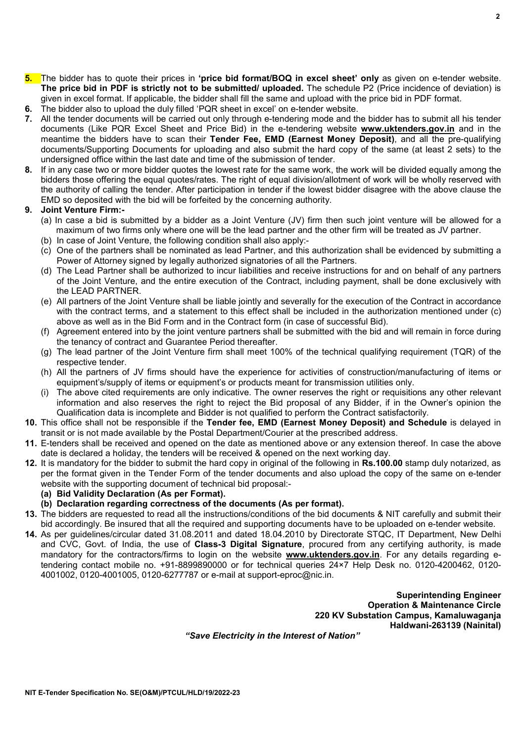$\overline{2}$ 

- 5. The bidder has to quote their prices in 'price bid format/BOQ in excel sheet' only as given on e-tender website. The price bid in PDF is strictly not to be submitted/ uploaded. The schedule P2 (Price incidence of deviation) is given in excel format. If applicable, the bidder shall fill the same and upload with the price bid in PDF format.
- 6. The bidder also to upload the duly filled 'PQR sheet in excel' on e-tender website.
- 7. All the tender documents will be carried out only through e-tendering mode and the bidder has to submit all his tender documents (Like PQR Excel Sheet and Price Bid) in the e-tendering website **www.uktenders.gov.in** and in the meantime the bidders have to scan their Tender Fee, EMD (Earnest Money Deposit), and all the pre-qualifying documents/Supporting Documents for uploading and also submit the hard copy of the same (at least 2 sets) to the undersigned office within the last date and time of the submission of tender.
- 8. If in any case two or more bidder quotes the lowest rate for the same work, the work will be divided equally among the bidders those offering the equal quotes/rates. The right of equal division/allotment of work will be wholly reserved with the authority of calling the tender. After participation in tender if the lowest bidder disagree with the above clause the EMD so deposited with the bid will be forfeited by the concerning authority.

# 9. Joint Venture Firm:-

- (a) In case a bid is submitted by a bidder as a Joint Venture (JV) firm then such joint venture will be allowed for a maximum of two firms only where one will be the lead partner and the other firm will be treated as JV partner.
- (b) In case of Joint Venture, the following condition shall also apply:-
- (c) One of the partners shall be nominated as lead Partner, and this authorization shall be evidenced by submitting a Power of Attorney signed by legally authorized signatories of all the Partners.
- (d) The Lead Partner shall be authorized to incur liabilities and receive instructions for and on behalf of any partners of the Joint Venture, and the entire execution of the Contract, including payment, shall be done exclusively with the LEAD PARTNER.
- (e) All partners of the Joint Venture shall be liable jointly and severally for the execution of the Contract in accordance with the contract terms, and a statement to this effect shall be included in the authorization mentioned under (c) above as well as in the Bid Form and in the Contract form (in case of successful Bid).
- (f) Agreement entered into by the joint venture partners shall be submitted with the bid and will remain in force during the tenancy of contract and Guarantee Period thereafter.
- (g) The lead partner of the Joint Venture firm shall meet 100% of the technical qualifying requirement (TQR) of the respective tender.
- (h) All the partners of JV firms should have the experience for activities of construction/manufacturing of items or equipment's/supply of items or equipment's or products meant for transmission utilities only.
- (i) The above cited requirements are only indicative. The owner reserves the right or requisitions any other relevant information and also reserves the right to reject the Bid proposal of any Bidder, if in the Owner's opinion the Qualification data is incomplete and Bidder is not qualified to perform the Contract satisfactorily.
- 10. This office shall not be responsible if the Tender fee, EMD (Earnest Money Deposit) and Schedule is delayed in transit or is not made available by the Postal Department/Courier at the prescribed address.
- 11. E-tenders shall be received and opened on the date as mentioned above or any extension thereof. In case the above date is declared a holiday, the tenders will be received & opened on the next working day.
- 12. It is mandatory for the bidder to submit the hard copy in original of the following in Rs.100.00 stamp duly notarized, as per the format given in the Tender Form of the tender documents and also upload the copy of the same on e-tender website with the supporting document of technical bid proposal:-
	- (a) Bid Validity Declaration (As per Format).
	- (b) Declaration regarding correctness of the documents (As per format).
- 13. The bidders are requested to read all the instructions/conditions of the bid documents & NIT carefully and submit their bid accordingly. Be insured that all the required and supporting documents have to be uploaded on e-tender website.
- 14. As per guidelines/circular dated 31.08.2011 and dated 18.04.2010 by Directorate STQC, IT Department, New Delhi and CVC, Govt. of India, the use of Class-3 Digital Signature, procured from any certifying authority, is made mandatory for the contractors/firms to login on the website www.uktenders.gov.in. For any details regarding etendering contact mobile no. +91-8899890000 or for technical queries 24×7 Help Desk no. 0120-4200462, 0120- 4001002, 0120-4001005, 0120-6277787 or e-mail at support-eproc@nic.in.

Superintending Engineer Operation & Maintenance Circle 220 KV Substation Campus, Kamaluwaganja Haldwani-263139 (Nainital)

"Save Electricity in the Interest of Nation"